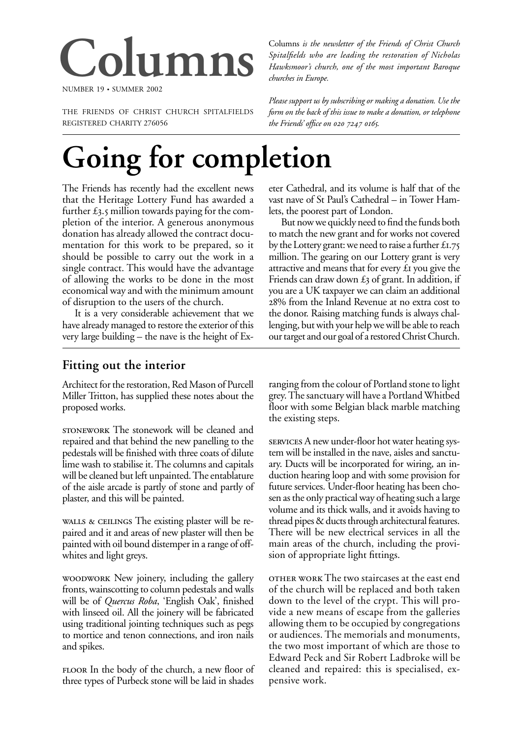# **Columns**

NUMBER 19 • SUMMER 2002

THE FRIENDS OF CHRIST CHURCH SPITALFIELDS REGISTERED CHARITY 276056

Columns *is the newsletter of the Friends of Christ Church Spitalfields who are leading the restoration of Nicholas Hawksmoor's church, one of the most important Baroque churches in Europe.*

*Please support us by subscribing or making a donation. Use the form on the back of this issue to make a donation, or telephone the Friends' office on 020 7247 0165.* 

# **Going for completion**

The Friends has recently had the excellent news that the Heritage Lottery Fund has awarded a further  $\pounds$ 3.5 million towards paying for the completion of the interior. A generous anonymous donation has already allowed the contract documentation for this work to be prepared, so it should be possible to carry out the work in a single contract. This would have the advantage of allowing the works to be done in the most economical way and with the minimum amount of disruption to the users of the church.

It is a very considerable achievement that we have already managed to restore the exterior of this very large building – the nave is the height of Ex-

### eter Cathedral, and its volume is half that of the vast nave of St Paul's Cathedral – in Tower Hamlets, the poorest part of London.

But now we quickly need to find the funds both to match the new grant and for works not covered by the Lottery grant: we need to raise a further  $£1.75$ million. The gearing on our Lottery grant is very attractive and means that for every  $£$  you give the Friends can draw down  $\pounds_3$  of grant. In addition, if you are a UK taxpayer we can claim an additional % from the Inland Revenue at no extra cost to the donor. Raising matching funds is always challenging, but with your help we will be able to reach our target and our goal of a restored Christ Church.

# **Fitting out the interior**

Architect for the restoration, Red Mason of Purcell Miller Tritton, has supplied these notes about the proposed works.

STONEWORK The stonework will be cleaned and repaired and that behind the new panelling to the pedestals will be finished with three coats of dilute lime wash to stabilise it. The columns and capitals will be cleaned but left unpainted. The entablature of the aisle arcade is partly of stone and partly of plaster, and this will be painted.

wALLS & CEILINGS The existing plaster will be repaired and it and areas of new plaster will then be painted with oil bound distemper in a range of offwhites and light greys.

WOODWORK New joinery, including the gallery fronts, wainscotting to column pedestals and walls will be of *Quercus Roba*, 'English Oak', finished with linseed oil. All the joinery will be fabricated using traditional jointing techniques such as pegs to mortice and tenon connections, and iron nails and spikes.

FLOOR In the body of the church, a new floor of three types of Purbeck stone will be laid in shades

ranging from the colour of Portland stone to light grey. The sanctuary will have a Portland Whitbed floor with some Belgian black marble matching the existing steps.

services A new under-floor hot water heating system will be installed in the nave, aisles and sanctuary. Ducts will be incorporated for wiring, an induction hearing loop and with some provision for future services. Under-floor heating has been chosen as the only practical way of heating such a large volume and its thick walls, and it avoids having to thread pipes & ducts through architectural features. There will be new electrical services in all the main areas of the church, including the provision of appropriate light fittings.

 The two staircases at the east end of the church will be replaced and both taken down to the level of the crypt. This will provide a new means of escape from the galleries allowing them to be occupied by congregations or audiences. The memorials and monuments, the two most important of which are those to Edward Peck and Sir Robert Ladbroke will be cleaned and repaired: this is specialised, expensive work.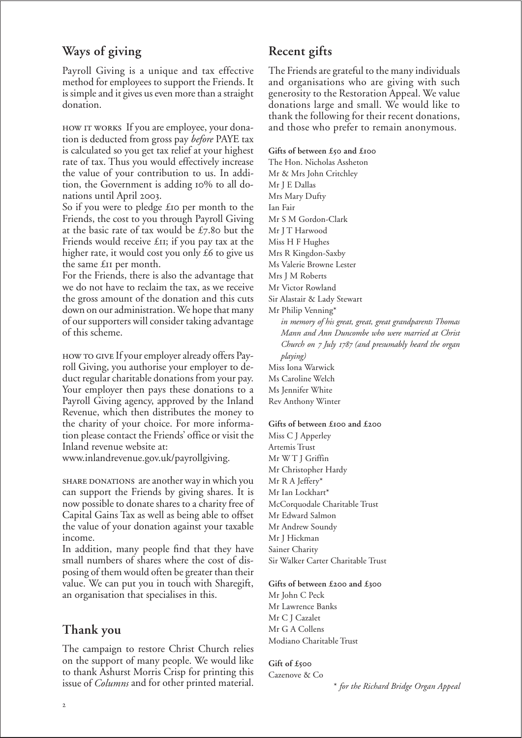# **Ways of giving**

Payroll Giving is a unique and tax effective method for employees to support the Friends. It is simple and it gives us even more than a straight donation.

HOW IT WORKS If you are employee, your donation is deducted from gross pay *before* PAYE tax is calculated so you get tax relief at your highest rate of tax. Thus you would effectively increase the value of your contribution to us. In addition, the Government is adding 10% to all donations until April 2003.

So if you were to pledge  $\pounds$  to per month to the Friends, the cost to you through Payroll Giving at the basic rate of tax would be  $£7.80$  but the Friends would receive  $£$ II; if you pay tax at the higher rate, it would cost you only  $£6$  to give us the same £II per month.

For the Friends, there is also the advantage that we do not have to reclaim the tax, as we receive the gross amount of the donation and this cuts down on our administration. We hope that many of our supporters will consider taking advantage of this scheme.

HOW TO GIVE If your employer already offers Payroll Giving, you authorise your employer to deduct regular charitable donations from your pay. Your employer then pays these donations to a Payroll Giving agency, approved by the Inland Revenue, which then distributes the money to the charity of your choice. For more information please contact the Friends' office or visit the Inland revenue website at:

www.inlandrevenue.gov.uk/payrollgiving.

SHARE DONATIONS are another way in which you can support the Friends by giving shares. It is now possible to donate shares to a charity free of Capital Gains Tax as well as being able to offset the value of your donation against your taxable income.

In addition, many people find that they have small numbers of shares where the cost of disposing of them would often be greater than their value. We can put you in touch with Sharegift, an organisation that specialises in this.

# **Thank you**

The campaign to restore Christ Church relies on the support of many people. We would like to thank Ashurst Morris Crisp for printing this issue of *Columns* and for other printed material.

# **Recent gifts**

The Friends are grateful to the many individuals and organisations who are giving with such generosity to the Restoration Appeal. We value donations large and small. We would like to thank the following for their recent donations, and those who prefer to remain anonymous.

#### Gifts of between £50 and £100

The Hon. Nicholas Assheton Mr & Mrs John Critchley Mr J E Dallas Mrs Mary Dufty Ian Fair Mr S M Gordon-Clark Mr J T Harwood Miss H F Hughes Mrs R Kingdon-Saxby Ms Valerie Browne Lester Mrs J M Roberts Mr Victor Rowland Sir Alastair & Lady Stewart Mr Philip Venning\* *in memory of his great, great, great grandparents Thomas Mann and Ann Duncombe who were married at Christ Church on July (and presumably heard the organ playing)* Miss Iona Warwick Ms Caroline Welch Ms Jennifer White Rev Anthony Winter

#### Gifts of between £100 and £200

Miss C J Apperley Artemis Trust Mr W T J Griffin Mr Christopher Hardy Mr R A Jeffery\* Mr Ian Lockhart\* McCorquodale Charitable Trust Mr Edward Salmon Mr Andrew Soundy Mr J Hickman Sainer Charity Sir Walker Carter Charitable Trust

#### Gifts of between £200 and £300

Mr John C Peck Mr Lawrence Banks Mr C J Cazalet Mr G A Collens Modiano Charitable Trust

#### **Gift of £** Cazenove & Co

\* *for the Richard Bridge Organ Appeal*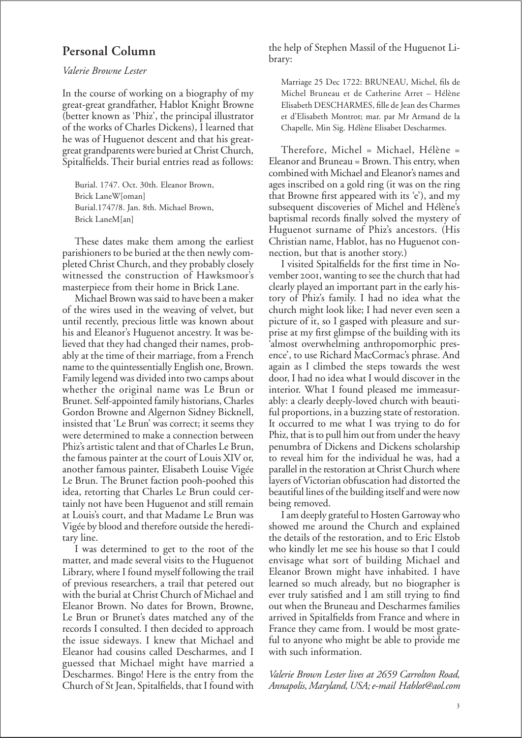## **Personal Column**

#### *Valerie Browne Lester*

In the course of working on a biography of my great-great grandfather, Hablot Knight Browne (better known as 'Phiz', the principal illustrator of the works of Charles Dickens), I learned that he was of Huguenot descent and that his greatgreat grandparents were buried at Christ Church, Spitalfields. Their burial entries read as follows:

Burial. 1747. Oct. 30th. Eleanor Brown, Brick LaneW[oman] Burial.1747/8. Jan. 8th. Michael Brown, Brick LaneM[an]

These dates make them among the earliest parishioners to be buried at the then newly completed Christ Church, and they probably closely witnessed the construction of Hawksmoor's masterpiece from their home in Brick Lane.

Michael Brown was said to have been a maker of the wires used in the weaving of velvet, but until recently, precious little was known about his and Eleanor's Huguenot ancestry. It was believed that they had changed their names, probably at the time of their marriage, from a French name to the quintessentially English one, Brown. Family legend was divided into two camps about whether the original name was Le Brun or Brunet. Self-appointed family historians, Charles Gordon Browne and Algernon Sidney Bicknell, insisted that 'Le Brun' was correct; it seems they were determined to make a connection between Phiz's artistic talent and that of Charles Le Brun, the famous painter at the court of Louis XIV or, another famous painter, Elisabeth Louise Vigée Le Brun. The Brunet faction pooh-poohed this idea, retorting that Charles Le Brun could certainly not have been Huguenot and still remain at Louis's court, and that Madame Le Brun was Vigée by blood and therefore outside the hereditary line.

I was determined to get to the root of the matter, and made several visits to the Huguenot Library, where I found myself following the trail of previous researchers, a trail that petered out with the burial at Christ Church of Michael and Eleanor Brown. No dates for Brown, Browne, Le Brun or Brunet's dates matched any of the records I consulted. I then decided to approach the issue sideways. I knew that Michael and Eleanor had cousins called Descharmes, and I guessed that Michael might have married a Descharmes. Bingo! Here is the entry from the Church of St Jean, Spitalfields, that I found with

the help of Stephen Massil of the Huguenot Library:

Marriage 25 Dec 1722: BRUNEAU, Michel, fils de Michel Bruneau et de Catherine Arret – Hélène Elisabeth DESCHARMES, fille de Jean des Charmes et d'Elisabeth Montrot; mar. par Mr Armand de la Chapelle, Min Sig. Hélène Elisabet Descharmes.

Therefore, Michel = Michael, Hélène = Eleanor and Bruneau = Brown. This entry, when combined with Michael and Eleanor's names and ages inscribed on a gold ring (it was on the ring that Browne first appeared with its 'e'), and my subsequent discoveries of Michel and Hélène's baptismal records finally solved the mystery of Huguenot surname of Phiz's ancestors. (His Christian name, Hablot, has no Huguenot connection, but that is another story.)

I visited Spitalfields for the first time in November 2001, wanting to see the church that had clearly played an important part in the early history of Phiz's family. I had no idea what the church might look like; I had never even seen a picture of it, so I gasped with pleasure and surprise at my first glimpse of the building with its 'almost overwhelming anthropomorphic presence', to use Richard MacCormac's phrase. And again as I climbed the steps towards the west door, I had no idea what I would discover in the interior. What I found pleased me immeasurably: a clearly deeply-loved church with beautiful proportions, in a buzzing state of restoration. It occurred to me what I was trying to do for Phiz, that is to pull him out from under the heavy penumbra of Dickens and Dickens scholarship to reveal him for the individual he was, had a parallel in the restoration at Christ Church where layers of Victorian obfuscation had distorted the beautiful lines of the building itself and were now being removed.

I am deeply grateful to Hosten Garroway who showed me around the Church and explained the details of the restoration, and to Eric Elstob who kindly let me see his house so that I could envisage what sort of building Michael and Eleanor Brown might have inhabited. I have learned so much already, but no biographer is ever truly satisfied and I am still trying to find out when the Bruneau and Descharmes families arrived in Spitalfields from France and where in France they came from. I would be most grateful to anyone who might be able to provide me with such information.

*Valerie Brown Lester lives at 2659 Carrolton Road, Annapolis, Maryland, USA; e-mail Hablot@aol.com*